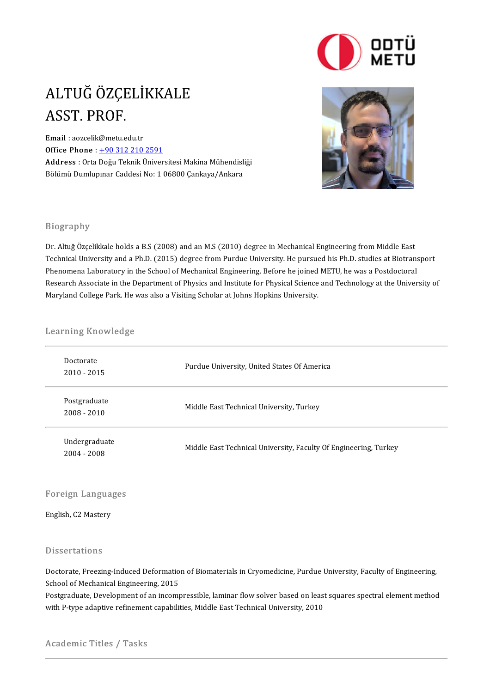

## ALTUĞ ÖZÇELİKKALE<br>ASST PROF ALTUĞ ÖZÇE<br>ASST. PROF.<br><sup>Email</sup> :aozcelik@metu.eq ASST. PROF.<br>Email : aozcelik@metu.edu.tr

Office Phone: +90 312 210 2591 **Email** : aozcelik@metu.edu.tr<br>Office Phone : <u>+90 312 210 2591</u><br>Address : Orta Doğu Teknik Üniversitesi Makina Mühendisliği<br>Pölümü Dumlunuar Caddesi No. 1 06800 Canlava (Anlara

**Office Phone** : <u>+90 312 210 2591</u><br><mark>Address</mark> : Orta Doğu Teknik Üniversitesi Makina Mühendisli<br>Bölümü Dumlupınar Caddesi No: 1 06800 Çankaya/Ankara



## Biography

Dr. Altuğ Özçelikkale holds a B.S (2008) and an M.S (2010) degree in Mechanical Engineering from Middle East *Drogrupny*<br>Dr. Altuğ Özçelikkale holds a B.S (2008) and an M.S (2010) degree in Mechanical Engineering from Middle East<br>Technical University and a Ph.D. (2015) degree from Purdue University. He pursued his Ph.D. studies a Dr. Altuğ Özçelikkale holds a B.S (2008) and an M.S (2010) degree in Mechanical Engineering from Middle East<br>Technical University and a Ph.D. (2015) degree from Purdue University. He pursued his Ph.D. studies at Biotrans<br>P Technical University and a Ph.D. (2015) degree from Purdue University. He pursued his Ph.D. studies at Biotransport<br>Phenomena Laboratory in the School of Mechanical Engineering. Before he joined METU, he was a Postdoctoral Phenomena Laboratory in the School of Mechanical Engineering. Before he joined<br>Research Associate in the Department of Physics and Institute for Physical Science<br>Maryland College Park. He was also a Visiting Scholar at Joh

# waryiand college Park. He v<br>Learning Knowledge

| Learning Knowledge             |                                                                  |
|--------------------------------|------------------------------------------------------------------|
| Doctorate<br>$2010 - 2015$     | Purdue University, United States Of America                      |
| Postgraduate<br>$2008 - 2010$  | Middle East Technical University, Turkey                         |
| Undergraduate<br>$2004 - 2008$ | Middle East Technical University, Faculty Of Engineering, Turkey |

## Foreign Languages Foreign Langua<sub>i</sub><br>English, C2 Mastery

English, C2 Mastery<br>Dissertations

Dissertations<br>Doctorate, Freezing-Induced Deformation of Biomaterials in Cryomedicine, Purdue University, Faculty of Engineering,<br>School of Mechanical Engineering, 2015 Basser dations<br>Doctorate, Freezing-Induced Deformatio<br>School of Mechanical Engineering, 2015<br>Bestanduate, Development of an income Doctorate, Freezing-Induced Deformation of Biomaterials in Cryomedicine, Purdue University, Faculty of Engineering,<br>School of Mechanical Engineering, 2015<br>Postgraduate, Development of an incompressible, laminar flow solver

School of Mechanical Engineering, 2015<br>Postgraduate, Development of an incompressible, laminar flow solver based on least squares spectral element method<br>with P-type adaptive refinement capabilities, Middle East Technical

MiddleEastTechnicalUniversity,FacultyOfEngineering,DepartmentOf

Academic Titles / Tasks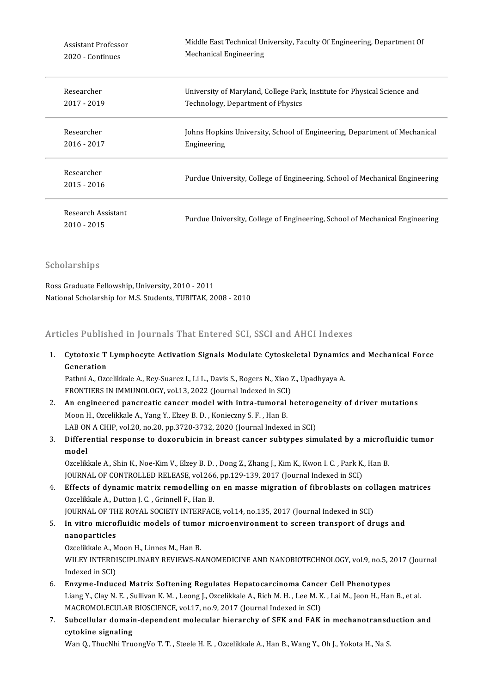| Assistant Professor               | Middle East Technical University, Faculty Of Engineering, Department Of     |
|-----------------------------------|-----------------------------------------------------------------------------|
| 2020 - Continues                  | <b>Mechanical Engineering</b>                                               |
| Researcher                        | University of Maryland, College Park, Institute for Physical Science and    |
| 2017 - 2019                       | Technology, Department of Physics                                           |
| Researcher                        | Johns Hopkins University, School of Engineering, Department of Mechanical   |
| 2016 - 2017                       | Engineering                                                                 |
| Researcher<br>2015 - 2016         | Purdue University, College of Engineering, School of Mechanical Engineering |
| Research Assistant<br>2010 - 2015 | Purdue University, College of Engineering, School of Mechanical Engineering |

Scholarships

Ross Graduate Fellowship, University, 2010 - 2011 National Scholarship for M.S. Students, TUBITAK, 2008 - 2010

Articles Published in Journals That Entered SCI, SSCI and AHCI Indexes

nticles Published in Journals That Entered SCI, SSCI and AHCI Indexes<br>1. Cytotoxic T Lymphocyte Activation Signals Modulate Cytoskeletal Dynamics and Mechanical Force<br>Coneration Generation<br>Generation<br>Bethni A. Oze Cytotoxic T Lymphocyte Activation Signals Modulate Cytoskeletal Dynamics<br>Generation<br>Pathni A., Ozcelikkale A., Rey-Suarez I., Li L., Davis S., Rogers N., Xiao Z., Upadhyaya A.<br>ERONTIERS IN IMAUNOLOCY, vel 12, 2022 (Jawnal

Generation<br>Pathni A., Ozcelikkale A., Rey-Suarez I., Li L., Davis S., Rogers N., Xiao 2<br>FRONTIERS IN IMMUNOLOGY, vol.13, 2022 (Journal Indexed in SCI)<br>An engineered penerastis senser model with intre tumeral h Pathni A., Ozcelikkale A., Rey-Suarez I., Li L., Davis S., Rogers N., Xiao Z., Upadhyaya A.<br>FRONTIERS IN IMMUNOLOGY, vol.13, 2022 (Journal Indexed in SCI)<br>2. An engineered pancreatic cancer model with intra-tumoral heterog

- FRONTIERS IN IMMUNOLOGY, vol.13, 2022 (Journal Indexed in SCI)<br>An engineered pancreatic cancer model with intra-tumoral<br>Moon H., Ozcelikkale A., Yang Y., Elzey B. D. , Konieczny S. F. , Han B.<br>LAB ON A CHIB vol.20, no.20, An engineered pancreatic cancer model with intra-tumoral heterog<br>Moon H., Ozcelikkale A., Yang Y., Elzey B. D. , Konieczny S. F. , Han B.<br>LAB ON A CHIP, vol.20, no.20, pp.3720-3732, 2020 (Journal Indexed in SCI)<br>Differenti 3. Moon H., Ozcelikkale A., Yang Y., Elzey B. D. , Konieczny S. F. , Han B.<br>LAB ON A CHIP, vol.20, no.20, pp.3720-3732, 2020 (Journal Indexed in SCI)<br>3. Differential response to doxorubicin in breast cancer subtypes simula
- LAB ON<br>Differe<br>model<br>Ozselik Differential response to doxorubicin in breast cancer subtypes simulated by a microfl<br>model<br>Ozcelikkale A., Shin K., Noe-Kim V., Elzey B. D. , Dong Z., Zhang J., Kim K., Kwon I. C. , Park K., Han B.<br>JOUPMAL OF CONTROLLED B

model<br>Ozcelikkale A., Shin K., Noe-Kim V., Elzey B. D. , Dong Z., Zhang J., Kim K., Kwon I. C. , Park K.<br>JOURNAL OF CONTROLLED RELEASE, vol.266, pp.129-139, 2017 (Journal Indexed in SCI)<br>Effects of dynamic matrix remodelli

JOURNAL OF CONTROLLED RELEASE, vol.266, pp.129-139, 2017 (Journal Indexed in SCI)<br>4. Effects of dynamic matrix remodelling on en masse migration of fibroblasts on collagen matrices Ozcelikkale A., Dutton J. C., Grinnell F., Han B. Effects of dynamic matrix remodelling on en masse migration of fibroblasts on col<br>Ozcelikkale A., Dutton J. C. , Grinnell F., Han B.<br>JOURNAL OF THE ROYAL SOCIETY INTERFACE, vol.14, no.135, 2017 (Journal Indexed in SCI)<br>In

5. Ozcelikkale A., Dutton J. C. , Grinnell F., Han B.<br>JOURNAL OF THE ROYAL SOCIETY INTERFACE, vol.14, no.135, 2017 (Journal Indexed in SCI)<br>5. In vitro microfluidic models of tumor microenvironment to screen transport of d **JOURNAL OF TH**<br>In vitro micro<br>nanoparticles<br>Orgelikkale A M I<mark>n vitro microfluidic models of tumo</mark><br>nanoparticles<br>Ozcelikkale A., Moon H., Linnes M., Han B.<br>WILEV INTERDISCIPLINARY REVIEWS N nanoparticles<br>Ozcelikkale A., Moon H., Linnes M., Han B.<br>WILEY INTERDISCIPLINARY REVIEWS-NANOMEDICINE AND NANOBIOTECHNOLOGY, vol.9, no.5, 2017 (Journal

Indexed in SCI)

- 6. Enzyme-InducedMatrix Softening Regulates Hepatocarcinoma Cancer Cel Phenotypes Indexed in SCI)<br><mark>Enzyme-Induced Matrix Softening Regulates Hepatocarcinoma Cancer Cell Phenotypes</mark><br>Liang Y., Clay N. E. , Sullivan K. M. , Leong J., Ozcelikkale A., Rich M. H. , Lee M. K. , Lai M., Jeon H., Han B., et al.<br> Enzyme-Induced Matrix Softening Regulates Hepatocarcinoma Cance<br>Liang Y., Clay N. E. , Sullivan K. M. , Leong J., Ozcelikkale A., Rich M. H. , Lee M. K<br>MACROMOLECULAR BIOSCIENCE, vol.17, no.9, 2017 (Journal Indexed in SCI) Liang Y., Clay N. E. , Sullivan K. M. , Leong J., Ozcelikkale A., Rich M. H. , Lee M. K. , Lai M., Jeon H., Han B., et al.<br>MACROMOLECULAR BIOSCIENCE, vol.17, no.9, 2017 (Journal Indexed in SCI)<br>7. Subcellular domain-depend
- MACROMOLECULAR<br>Subcellular domain<br>cytokine signaling<br>Wan O ThuaNhi Twu Subcellular domain-dependent molecular hierarchy of SFK and FAK in mechanotransd<br>cytokine signaling<br>Wan Q., ThucNhi TruongVo T. T. , Steele H. E. , Ozcelikkale A., Han B., Wang Y., Oh J., Yokota H., Na S.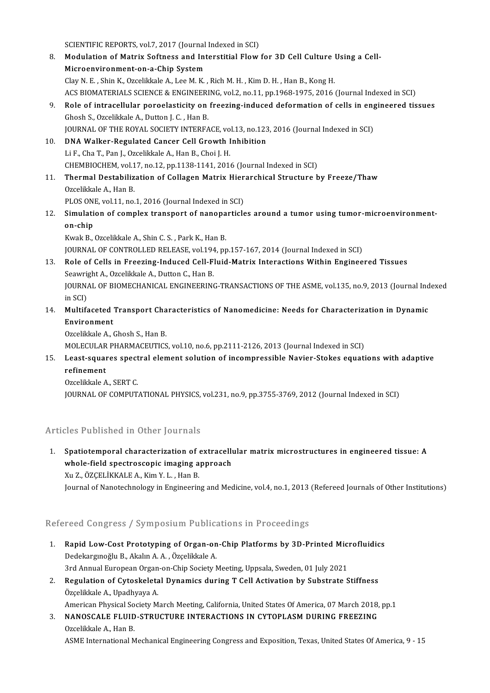- SCIENTIFIC REPORTS, vol.7, 2017 (Journal Indexed in SCI)<br>Medulation of Matriy Softness and Interatitiel Flow 8. SCIENTIFIC REPORTS, vol.7, 2017 (Journal Indexed in SCI)<br>8. Modulation of Matrix Softness and Interstitial Flow for 3D Cell Culture Using a Cell-<br>Misroenvirenment on a Chin System SCIENTIFIC REPORTS, vol.7, 2017 (Journal<br>Modulation of Matrix Softness and Int<br>Microenvironment-on-a-Chip System<br>Clay N. E., Ship K. Ozalikiple A. Lee M. K. Modulation of Matrix Softness and Interstitial Flow for 3D Cell Culture<br>Microenvironment-on-a-Chip System<br>Clay N. E. , Shin K., Ozcelikkale A., Lee M. K. , Rich M. H. , Kim D. H. , Han B., Kong H.<br>ACS BIOMATERIALS SCIENCE Microenvironment-on-a-Chip System<br>Clay N. E. , Shin K., Ozcelikkale A., Lee M. K. , Rich M. H. , Kim D. H. , Han B., Kong H.<br>ACS BIOMATERIALS SCIENCE & ENGINEERING, vol.2, no.11, pp.1968-1975, 2016 (Journal Indexed in SCI) Clay N. E., Shin K., Ozcelikkale A., Lee M. K., Rich M. H., Kim D. H., Han B., Kong H.<br>ACS BIOMATERIALS SCIENCE & ENGINEERING, vol.2, no.11, pp.1968-1975, 2016 (Journal Indexed in SCI)<br>Role of intracellular poroelasticity Ghosh S., Ozcelikkale A., Dutton J. C. , Han B.<br>JOURNAL OF THE ROYAL SOCIETY INTERFACE, vol.13, no.123, 2016 (Journal Indexed in SCI) Role of intracellular poroelasticity on freezing-induced deformation of cells in eng<br>Ghosh S., Ozcelikkale A., Dutton J. C. , Han B.<br>JOURNAL OF THE ROYAL SOCIETY INTERFACE, vol.13, no.123, 2016 (Journal Indexed in SCI)<br>DNA 10. DNA Walker-Regulated Cancer Cell Growth Inhibition LiF.,ChaT.,PanJ.,OzcelikkaleA.,HanB.,Choi J.H. DNA Walker-Regulated Cancer Cell Growth Inhibition<br>Li F., Cha T., Pan J., Ozcelikkale A., Han B., Choi J. H.<br>CHEMBIOCHEM, vol.17, no.12, pp.1138-1141, 2016 (Journal Indexed in SCI)<br>Thermal Destabilization of Collagon Matri 11. Thermal Destabilization of Collagen Matrix Hierarchical Structure by Freeze/Thaw<br>Ozcelikkale A., Han B. CHEMBIOCHEM, vol.1<br>Thermal Destabiliz<br>Ozcelikkale A., Han B.<br>BLOS ONE vol.11, no. Thermal Destabilization of Collagen Matrix Hier<br>Ozcelikkale A., Han B.<br>PLOS ONE, vol.11, no.1, 2016 (Journal Indexed in SCI)<br>Simulation of complex transport of perconentials 0zcelikkale A., Han B.<br>12. Simulation of complex transport of nanoparticles around a tumor using tumor-microenvironment-<br>2. Simulation of complex transport of nanoparticles around a tumor using tumor-microenvironment-PLOS ON<br>Simulati<br>on-chip<br><sup>Kurak B</sup> Simulation of complex transport of nanopa<br>on-chip<br>Kwak B., Ozcelikkale A., Shin C. S. , Park K., Han B.<br>JOUPMAL OF CONTROLLED BELEASE vol 104 ap on-chip<br>Kwak B., Ozcelikkale A., Shin C. S. , Park K., Han B.<br>JOURNAL OF CONTROLLED RELEASE, vol.194, pp.157-167, 2014 (Journal Indexed in SCI) Kwak B., Ozcelikkale A., Shin C. S. , Park K., Han B.<br>13. Role of Cells in Freezing-Induced Cell-Fluid-Matrix Interactions Within Engineered Tissues<br>5. Seauwight A. Ozcelikiale A. Dutton G. Han B. JOURNAL OF CONTROLLED RELEASE, vol.194<br>Role of Cells in Freezing-Induced Cell-F<br>Seawright A., Ozcelikkale A., Dutton C., Han B.<br>JOURNAL OF PIOMECHANICAL ENCINEERING JOURNAL OF BIOMECHANICAL ENGINEERING-TRANSACTIONS OF THE ASME, vol.135, no.9, 2013 (Journal Indexed<br>in SCI) Seawright A., Ozcelikkale A., Dutton C., Han B. 14. JOURNAL OF BIOMECHANICAL ENGINEERING-TRANSACTIONS OF THE ASME, vol.135, no.9, 2013 (Journal Ind<br>in SCI)<br>Thuirenment in SCI)<br>Multifaceted<br>Environment<br>Ozcelikkele A Multifa<mark>ceted Transport Cha</mark><br>Environment<br>Ozcelikkale A., Ghosh S., Han B.<br>MOLECULAR RHARMACEUTICS E<mark>nvironment</mark><br>Ozcelikkale A., Ghosh S., Han B.<br>MOLECULAR PHARMACEUTICS, vol.10, no.6, pp.2111-2126, 2013 (Journal Indexed in SCI) 0zcelikkale A., Ghosh S., Han B.<br>MOLECULAR PHARMACEUTICS, vol.10, no.6, pp.2111-2126, 2013 (Journal Indexed in SCI)<br>15. Least-squares spectral element solution of incompressible Navier-Stokes equations with adaptive<br>refina
- MOLECULAR<br>Least-squar<br>refinement<br>Ozselikkele A Least-squares spect<br>refinement<br>Ozcelikkale A., SERT C.<br>JOUPNAL OF COMPUT r**efinement**<br>Ozcelikkale A., SERT C.<br>JOURNAL OF COMPUTATIONAL PHYSICS, vol.231, no.9, pp.3755-3769, 2012 (Journal Indexed in SCI)
	-

## Articles Published in Other Journals

Ficles Published in Other Journals<br>1. Spatiotemporal characterization of extracellular matrix microstructures in engineered tissue: A<br>whole field anestressenis imaging annuaseb Spatiotemporal characterization of extracelly<br>whole-field spectroscopic imaging approach<br>Yu 7, ÖZCELİKKALEA, Kim V.L., Han P Spatiotemporal characterization of<br>whole-field spectroscopic imaging a<br>Xu Z., ÖZÇELİKKALE A., Kim Y. L. , Han B.<br>Journal of Nanatechnology in Engineerin whole-field spectroscopic imaging approach<br>Xu Z., ÖZÇELİKKALE A., Kim Y. L. , Han B.<br>Journal of Nanotechnology in Engineering and Medicine, vol.4, no.1, 2013 (Refereed Journals of Other Institutions)

## Refereed Congress / Symposium Publications in Proceedings

- Refereed Congress / Symposium Publications in Proceedings<br>1. Rapid Low-Cost Prototyping of Organ-on-Chip Platforms by 3D-Printed Microfluidics Nede dongress 7 by mpostam 1 disnet<br>Rapid Low-Cost Prototyping of Organ-on<br>Dedekargınoğlu B., Akalın A.A., Özçelikkale A. Rapid Low-Cost Prototyping of Organ-on-Chip Platforms by 3D-Printed Michael<br>Dedekargmoğlu B., Akalın A. A. , Özçelikkale A.<br>3rd Annual European Organ-on-Chip Society Meeting, Uppsala, Sweden, 01 July 2021<br>Begyletion of Cyt Dedekargınoğlu B., Akalın A. A. , Özçelikkale A.<br>3rd Annual European Organ-on-Chip Society Meeting, Uppsala, Sweden, 01 July 2021<br>2. Regulation of Cytoskeletal Dynamics during T Cell Activation by Substrate Stiffness<br>Özçel
- 3rd Annual European Organ<br>**Regulation of Cytoskeleta**<br>Özçelikkale A., Upadhyaya A.<br>American Physical Society M Regulation of Cytoskeletal Dynamics during T Cell Activation by Substrate Stiffness<br>Özçelikkale A., Upadhyaya A.<br>American Physical Society March Meeting, California, United States Of America, 07 March 2018, pp.1<br>NANOSCALE

Özçelikkale A., Upadhyaya A.<br>American Physical Society March Meeting, California, United States Of America, 07 March 2018,<br>3. NANOSCALE FLUID-STRUCTURE INTERACTIONS IN CYTOPLASM DURING FREEZING American Physical So<br>**NANOSCALE FLUID**<br>Ozcelikkale A., Han B.<br>ASME International M 3. NANOSCALE FLUID-STRUCTURE INTERACTIONS IN CYTOPLASM DURING FREEZING<br>Ozcelikkale A., Han B.<br>ASME International Mechanical Engineering Congress and Exposition, Texas, United States Of America, 9 - 15